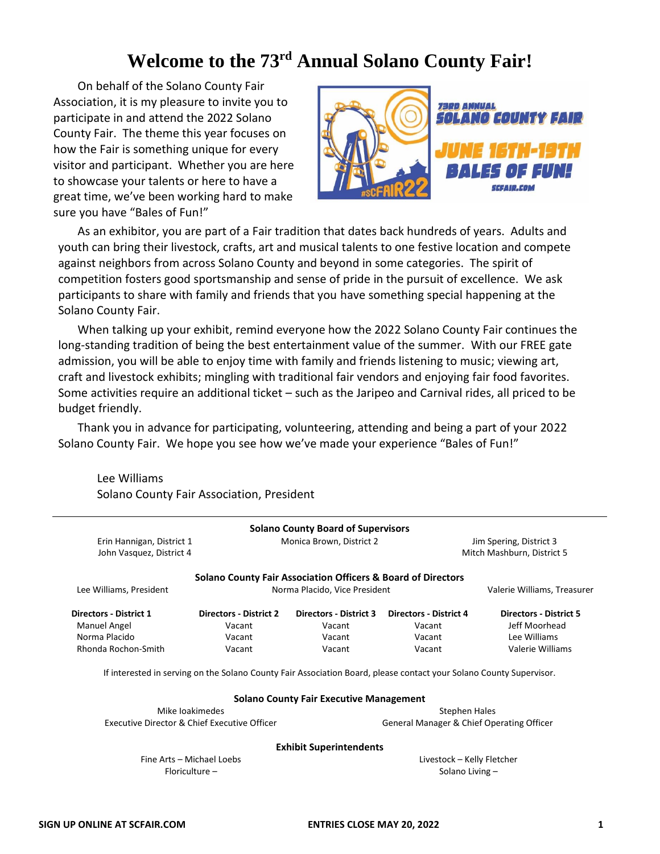# Welcome to the 73<sup>rd</sup> Annual Solano County Fair!

On behalf of the Solano County Fair Association, it is my pleasure to invite you to participate in and attend the 2022 Solano County Fair. The theme this year focuses on how the Fair is something unique for every visitor and participant. Whether you are here to showcase your talents or here to have a great time, we've been working hard to make sure you have "Bales of Fun!"



As an exhibitor, you are part of a Fair tradition that dates back hundreds of years. Adults and youth can bring their livestock, crafts, art and musical talents to one festive location and compete against neighbors from across Solano County and beyond in some categories. The spirit of competition fosters good sportsmanship and sense of pride in the pursuit of excellence. We ask participants to share with family and friends that you have something special happening at the Solano County Fair.

When talking up your exhibit, remind everyone how the 2022 Solano County Fair continues the long-standing tradition of being the best entertainment value of the summer. With our FREE gate admission, you will be able to enjoy time with family and friends listening to music; viewing art, craft and livestock exhibits; mingling with traditional fair vendors and enjoying fair food favorites. Some activities require an additional ticket – such as the Jaripeo and Carnival rides, all priced to be budget friendly.

Thank you in advance for participating, volunteering, attending and being a part of your 2022 Solano County Fair. We hope you see how we've made your experience "Bales of Fun!"

Lee Williams Solano County Fair Association, President

| Erin Hannigan, District 1<br>John Vasquez, District 4 |                                              | <b>Solano County Board of Supervisors</b><br>Monica Brown, District 2   |                                                                                                                     | Jim Spering, District 3<br>Mitch Mashburn, District 5 |  |
|-------------------------------------------------------|----------------------------------------------|-------------------------------------------------------------------------|---------------------------------------------------------------------------------------------------------------------|-------------------------------------------------------|--|
|                                                       |                                              | <b>Solano County Fair Association Officers &amp; Board of Directors</b> |                                                                                                                     |                                                       |  |
| Lee Williams, President                               |                                              | Norma Placido, Vice President                                           |                                                                                                                     | Valerie Williams, Treasurer                           |  |
| <b>Directors - District 1</b>                         | <b>Directors - District 2</b>                | <b>Directors - District 3</b>                                           | <b>Directors - District 4</b>                                                                                       | <b>Directors - District 5</b>                         |  |
| Manuel Angel                                          | Vacant                                       | Vacant                                                                  | Vacant                                                                                                              | Jeff Moorhead                                         |  |
| Norma Placido                                         | Vacant                                       | Vacant                                                                  | Vacant                                                                                                              | Lee Williams                                          |  |
| Rhonda Rochon-Smith                                   | Vacant                                       | Vacant                                                                  | Vacant                                                                                                              | Valerie Williams                                      |  |
|                                                       |                                              |                                                                         | If interested in serving on the Solano County Fair Association Board, please contact your Solano County Supervisor. |                                                       |  |
|                                                       |                                              | <b>Solano County Fair Executive Management</b>                          |                                                                                                                     |                                                       |  |
|                                                       | Mike loakimedes                              |                                                                         | <b>Stephen Hales</b>                                                                                                |                                                       |  |
|                                                       | Executive Director & Chief Executive Officer |                                                                         | General Manager & Chief Operating Officer                                                                           |                                                       |  |
|                                                       |                                              | <b>Exhibit Superintendents</b>                                          |                                                                                                                     |                                                       |  |
|                                                       | Fine Arts - Michael Loebs                    |                                                                         | Livestock - Kelly Fletcher                                                                                          |                                                       |  |
|                                                       | Floriculture -                               |                                                                         | Solano Living -                                                                                                     |                                                       |  |
|                                                       |                                              |                                                                         |                                                                                                                     |                                                       |  |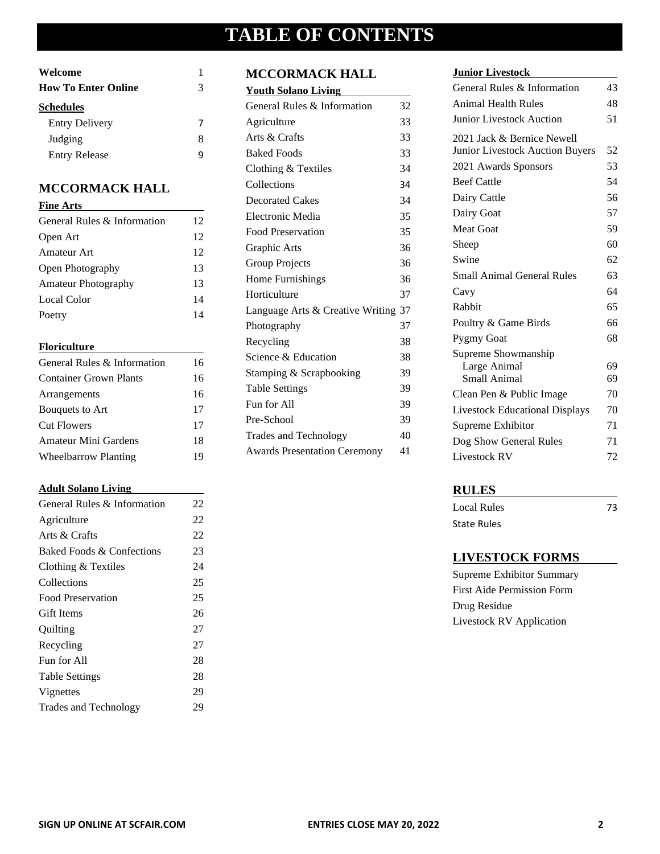# **TABLE OF CONTENTS**

| Welcome                    |   |
|----------------------------|---|
| <b>How To Enter Online</b> | 3 |
| <b>Schedules</b>           |   |
| <b>Entry Delivery</b>      |   |
| Judging                    | x |
| <b>Entry Release</b>       |   |

## **MCCORMACK HALL**

| <b>Fine Arts</b>            |    |
|-----------------------------|----|
| General Rules & Information | 12 |
| Open Art                    | 12 |
| Amateur Art                 | 12 |
| <b>Open Photography</b>     | 13 |
| <b>Amateur Photography</b>  | 13 |
| Local Color                 | 14 |
| Poetry                      | 14 |

## **Floriculture**

| General Rules & Information   | 16 |
|-------------------------------|----|
| <b>Container Grown Plants</b> | 16 |
| Arrangements                  | 16 |
| Bouquets to Art               | 17 |
| <b>Cut Flowers</b>            | 17 |
| Amateur Mini Gardens          | 18 |
| <b>Wheelbarrow Planting</b>   | 19 |

## **Adult Solano Living**

| General Rules & Information | 22 |
|-----------------------------|----|
| Agriculture                 | 22 |
| Arts & Crafts               | 22 |
| Baked Foods & Confections   | 23 |
| Clothing $&$ Textiles       | 24 |
| Collections                 | 25 |
| <b>Food Preservation</b>    | 25 |
| <b>Gift Items</b>           | 26 |
| Quilting                    | 27 |
| Recycling                   | 27 |
| Fun for All                 | 28 |
| <b>Table Settings</b>       | 28 |
| Vignettes                   | 29 |
| Trades and Technology       | 29 |
|                             |    |

# **MCCORMACK HALL**

| <b>Youth Solano Living</b>          |    |
|-------------------------------------|----|
| General Rules & Information         | 32 |
| Agriculture                         | 33 |
| Arts & Crafts                       | 33 |
| <b>Baked Foods</b>                  | 33 |
| Clothing & Textiles                 | 34 |
| Collections                         | 34 |
| <b>Decorated Cakes</b>              | 34 |
| Electronic Media                    | 35 |
| Food Preservation                   | 35 |
| Graphic Arts                        | 36 |
| <b>Group Projects</b>               | 36 |
| Home Furnishings                    | 36 |
| Horticulture                        | 37 |
| Language Arts & Creative Writing 37 |    |
| Photography                         | 37 |
| Recycling                           | 38 |
| Science & Education                 | 38 |
| Stamping & Scrapbooking             | 39 |
| <b>Table Settings</b>               | 39 |
| Fun for All                         | 39 |
| Pre-School                          | 39 |
| <b>Trades and Technology</b>        | 40 |
| <b>Awards Presentation Ceremony</b> | 41 |

## **Junior Livestock**

| General Rules & Information           | 43 |
|---------------------------------------|----|
| <b>Animal Health Rules</b>            | 48 |
| <b>Junior Livestock Auction</b>       | 51 |
| 2021 Jack & Bernice Newell            |    |
| Junior Livestock Auction Buyers       | 52 |
| 2021 Awards Sponsors                  | 53 |
| <b>Beef Cattle</b>                    | 54 |
| Dairy Cattle                          | 56 |
| Dairy Goat                            | 57 |
| <b>Meat Goat</b>                      | 59 |
| Sheep                                 | 60 |
| Swine                                 | 62 |
| <b>Small Animal General Rules</b>     | 63 |
| Cavy                                  | 64 |
| Rabbit                                | 65 |
| Poultry & Game Birds                  | 66 |
| <b>Pygmy Goat</b>                     | 68 |
| Supreme Showmanship                   |    |
| Large Animal                          | 69 |
| Small Animal                          | 69 |
| Clean Pen & Public Image              | 70 |
| <b>Livestock Educational Displays</b> | 70 |
| Supreme Exhibitor                     | 71 |
| Dog Show General Rules                | 71 |
| Livestock RV                          | 72 |

# **RULES**

Local Rules 73 State Rules

## **LIVESTOCK FORMS**

Supreme Exhibitor Summary First Aide Permission Form Drug Residue Livestock RV Application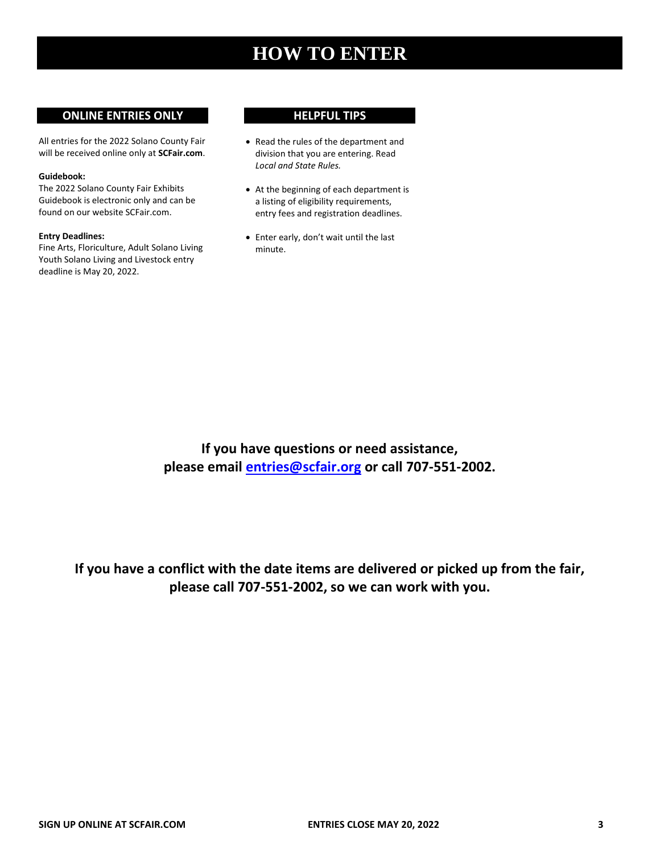# **HOW TO ENTER**

### **ONLINE ENTRIES ONLY**

All entries for the 2022 Solano County Fair will be received online only at **SCFair.com**.

#### **Guidebook:**

The 2022 Solano County Fair Exhibits Guidebook is electronic only and can be found on our website SCFair.com.

#### **Entry Deadlines:**

Fine Arts, Floriculture, Adult Solano Living Youth Solano Living and Livestock entry deadline is May 20, 2022.

#### **HELPFUL TIPS**

- Read the rules of the department and division that you are entering. Read *Local and State Rules.*
- At the beginning of each department is a listing of eligibility requirements, entry fees and registration deadlines.
- Enter early, don't wait until the last minute.

**If you have questions or need assistance, please email [entries@scfair.org](mailto:entries@scfair.org) or call 707-551-2002.**

**If you have a conflict with the date items are delivered or picked up from the fair, please call 707-551-2002, so we can work with you.**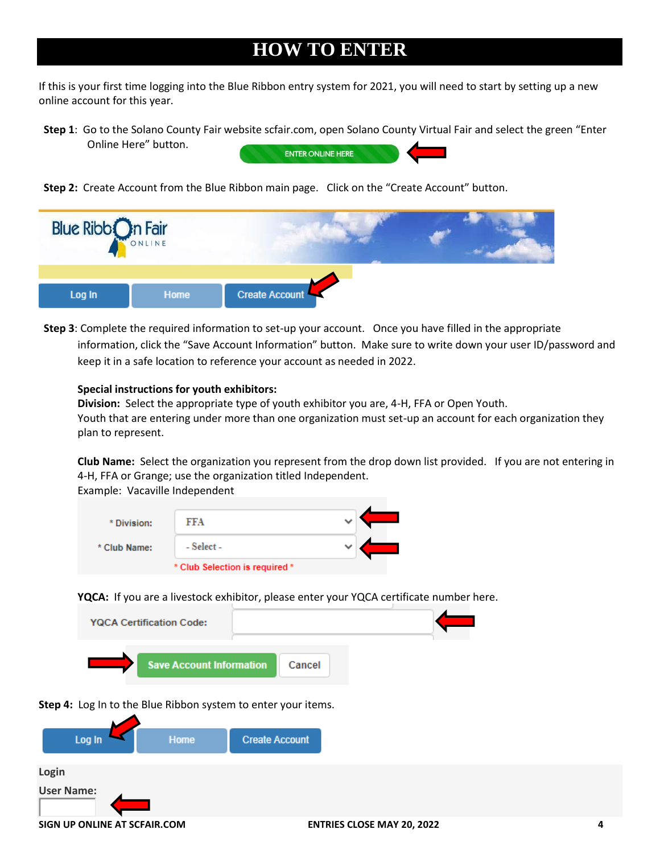# **HOW TO ENTER**

If this is your first time logging into the Blue Ribbon entry system for 2021, you will need to start by setting up a new online account for this year.

**Step 1**: Go to the Solano County Fair website scfair.com, open Solano County Virtual Fair and select the green "Enter Online Here" button. **ENTER ONLINE HERE** 

**Step 2:** Create Account from the Blue Ribbon main page. Click on the "Create Account" button.



**Step 3**: Complete the required information to set-up your account. Once you have filled in the appropriate information, click the "Save Account Information" button. Make sure to write down your user ID/password and keep it in a safe location to reference your account as needed in 2022.

### **Special instructions for youth exhibitors:**

**Division:** Select the appropriate type of youth exhibitor you are, 4-H, FFA or Open Youth. Youth that are entering under more than one organization must set-up an account for each organization they plan to represent.

**Club Name:** Select the organization you represent from the drop down list provided. If you are not entering in 4-H, FFA or Grange; use the organization titled Independent. Example: Vacaville Independent

| * Division:  | FFA                            | v |  |
|--------------|--------------------------------|---|--|
| * Club Name: | - Select -                     | w |  |
|              | * Club Selection is required * |   |  |

**YQCA:** If you are a livestock exhibitor, please enter your YQCA certificate number here.



### **User Name:**

**SIGN UP ONLINE AT SCFAIR.COM ENTRIES CLOSE MAY 20, 2022 4**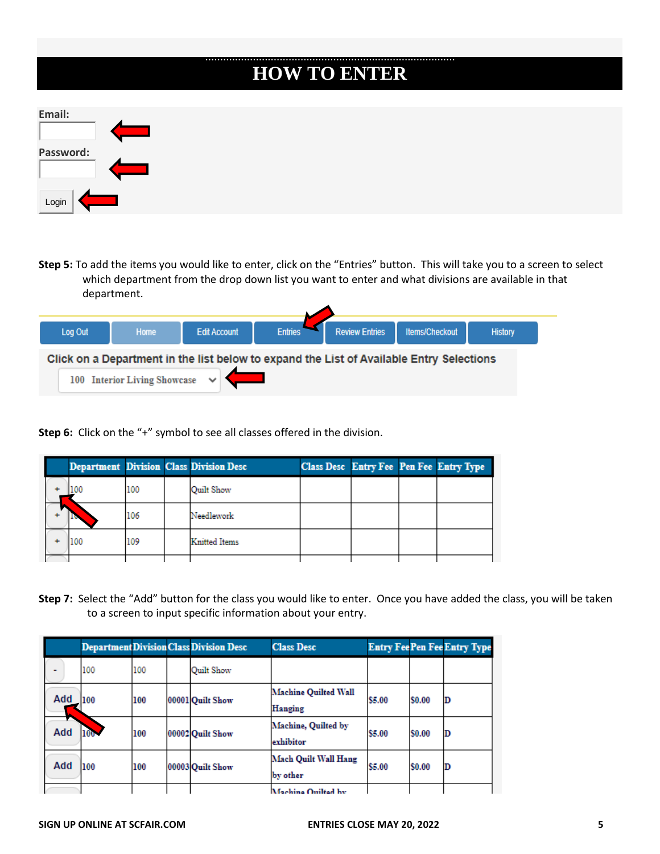| <b>HOW TO ENTER</b> |
|---------------------|
| Email:              |
| Password:           |
| Login               |

**Step 5:** To add the items you would like to enter, click on the "Entries" button. This will take you to a screen to select which department from the drop down list you want to enter and what divisions are available in that department.

◢

| Log Out | <b>Home</b>                  | <b>Edit Account</b>                                                                      | <b>Entries</b> | <b>Review Entries</b> | <b>Items/Checkout</b> | <b>History</b> |
|---------|------------------------------|------------------------------------------------------------------------------------------|----------------|-----------------------|-----------------------|----------------|
|         | 100 Interior Living Showcase | Click on a Department in the list below to expand the List of Available Entry Selections |                |                       |                       |                |

**Step 6:** Click on the "+" symbol to see all classes offered in the division.

|  |     |     | <b>Department Division Class Division Desc</b> |  | <b>Class Desc Entry Fee Pen Fee Entry Type</b> |
|--|-----|-----|------------------------------------------------|--|------------------------------------------------|
|  |     | 100 | Ouilt Show                                     |  |                                                |
|  |     | 106 | Needlework                                     |  |                                                |
|  | 100 | 109 | <b>Knitted Items</b>                           |  |                                                |
|  |     |     |                                                |  |                                                |

**Step 7:** Select the "Add" button for the class you would like to enter. Once you have added the class, you will be taken to a screen to input specific information about your entry.

|     |              |     | <b>Department Division Class Division Desc</b> | <b>Class Desc</b>                |        |              | <b>Entry Fee Pen Fee Entry Type</b> |
|-----|--------------|-----|------------------------------------------------|----------------------------------|--------|--------------|-------------------------------------|
| -   | 100          | 100 | <b>Ouilt Show</b>                              |                                  |        |              |                                     |
| Add | 100          | 100 | 00001 Ouilt Show                               | Machine Ouilted Wall<br>Hanging  | \$5.00 | \$0.00       | D                                   |
| Add | <b>100 -</b> | 100 | 00002 Quilt Show                               | Machine, Quilted by<br>exhibitor | \$5.00 | <b>S0.00</b> | D                                   |
| Add | 100          | 100 | 00003 Ouilt Show                               | Mach Quilt Wall Hang<br>by other | \$5.00 | \$0.00       | D                                   |
|     |              |     |                                                | Machina Ouiltad by               |        |              |                                     |